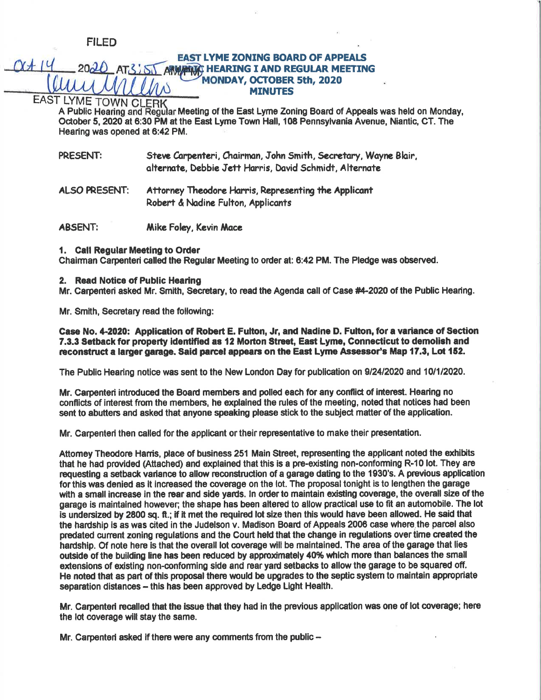**FILED** 

 $2020 \text{ AT}3151$ 

 $Q+14$ 

## **EAST LYME ZONING BOARD OF APPEALS ARMANAS HEARING I AND REGULAR MEETING** MONDAY, OCTOBER 5th, 2020 **MINUTES**

**EAST LYME TOWN CLERK** 

A Public Hearing and Regular Meeting of the East Lyme Zoning Board of Appeals was held on Monday, October 5, 2020 at 6:30 PM at the East Lyme Town Hall, 108 Pennsylvania Avenue, Niantic, CT. The Hearing was opened at 6:42 PM.

PRESENT: Steve Carpenteri, Chairman, John Smith, Secretary, Wayne Blair, alternate. Debbie Jett Harris. David Schmidt. Alternate

**ALSO PRESENT:** Attorney Theodore Harris, Representing the Applicant Robert & Nadine Fulton, Applicants

**ABSENT:** Mike Foley, Kevin Mace

## 1. Call Requiar Meeting to Order

Chairman Carpenteri called the Regular Meeting to order at: 6:42 PM. The Pledge was observed.

## 2. Read Notice of Public Hearing

Mr. Carpenteri asked Mr. Smith, Secretary, to read the Agenda call of Case #4-2020 of the Public Hearing.

Mr. Smith, Secretary read the following:

Case No. 4-2020: Application of Robert E. Fulton, Jr, and Nadine D. Fulton, for a variance of Section 7.3.3 Setback for property identified as 12 Morton Street, East Lyme, Connecticut to demolish and reconstruct a larger garage. Said parcel appears on the East Lyme Assessor's Map 17.3, Lot 152.

The Public Hearing notice was sent to the New London Day for publication on 9/24/2020 and 10/1/2020.

Mr. Carpenteri introduced the Board members and polled each for any conflict of interest. Hearing no conflicts of interest from the members, he explained the rules of the meeting, noted that notices had been sent to abutters and asked that anyone speaking please stick to the subject matter of the application.

Mr. Carpenteri then called for the applicant or their representative to make their presentation.

Attomey Theodore Harris, place of business 251 Main Street, representing the applicant noted the exhibits that he had provided (Attached) and explained that this is a pre-existing non-conforming R-10 lot. They are requesting a setback variance to allow reconstruction of a garage dating to the 1930's. A previous application for this was denied as it increased the coverage on the lot. The proposal tonight is to lengthen the garage with a small increase in the rear and side vards. In order to maintain existing coverage, the overall size of the garage is maintained however; the shape has been altered to allow practical use to fit an automobile. The lot is undersized by 2800 sq. ft.; if it met the required lot size then this would have been allowed. He said that the hardship is as was cited in the Judelson v. Madison Board of Appeals 2006 case where the parcel also predated current zoning regulations and the Court held that the change in regulations over time created the hardship. Of note here is that the overall lot coverage will be maintained. The area of the garage that lies outside of the building line has been reduced by approximately 40% which more than balances the small extensions of existing non-conforming side and rear yard setbacks to allow the garage to be squared off. He noted that as part of this proposal there would be upgrades to the septic system to maintain appropriate separation distances - this has been approved by Ledge Light Health.

Mr. Carpenteri recalled that the issue that they had in the previous application was one of lot coverage; here the lot coverage will stay the same.

Mr. Carpenteri asked if there were any comments from the public -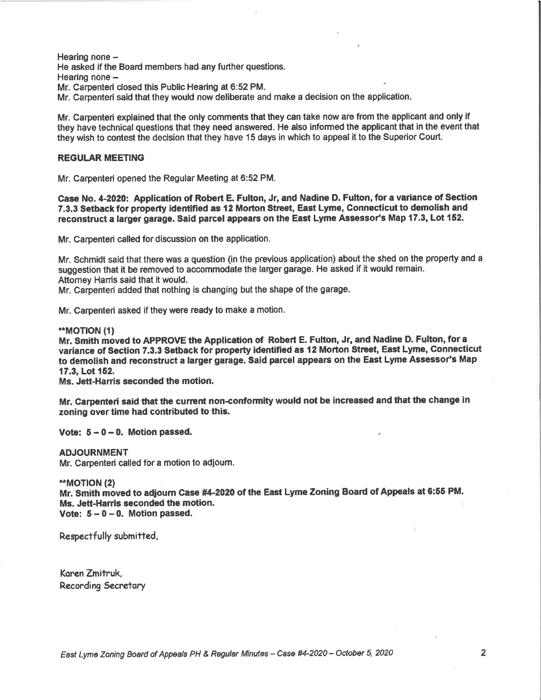Hearing none  $-$ He asked if the Board members had any further questions. Hearing none -Mr. Carpenteri closed this Public Hearing at 6:52 PM. Mr. Carpenteri said that they would now deliberate and make a decision on the application.

Mr. Carpenteri explained that the only comments that they can take now are from the applicant and only if they have technical questions that they need answered. He also informed the applicant that in the event that they wish to contest the decision that they have 15 days in which to appeal it to the Superior Court.

#### REGULAR MEETING

Mr. Carpenteri opened the Regular Meeting at 6:52 PM.

Gase No. 4-2020: Application of Robert E. Fulton, Jr, and Nadine D. Fulton, for a variance of Section 7.3.3 Setback for property identified as 12 Morton Street, East Lyme, Connecticut to demolish and reconstruct a larger garage. Said parcel appears on the East Lyme Assessor's Map 17.3, Lot 152.

Mr. Carpenteri called for discussion on the application.

Mr. Schmidt said that there was a question (in the previous application) about the shed on the property and a suggestion that it be removed to accommodate the larger garage. He asked if it would remain. Attorney Harris said that it would.

Mr. Carpenteri added that nothing is changing but the shape of the garage.

Mr. Carpenteri asked if they were ready to make a motion.

\*\*MOT|ON (1)

Mr. Smith moved to APPROVE the Application of Robert E. Fulton, Jr, and Nadine D. Fulton, for a variance of Section 7.3.3 Setback for property identified as 12 Morton Street, East Lyme, Connecticut to demolish and reconstruct a larger garage. Said parcel appears on the East Lyme Assessor's Map 17.3. Lot 152.

Ms. Jett-Haris seconded the motion.

Mr. Carpenteri said that the current non-conformity would not be increased and that the change in zoning over time had contributed to this.

Vote:  $5-0-0$ . Motion passed.

ADJOURNMENT Mr. Carpenteri called for a motion to adjoum.

\*MOT|ON (2)

Mr. Smith moved to adjourn Case #4-2020 of the East Lyme Zoning Board of Appeals at 6:55 PM. Ms. Jett-Harris seconded the motion. Vote:  $5 - 0 - 0$ . Motion passed.

Respectfully submitted,

Koren Zmitruk, Recordirg Secretary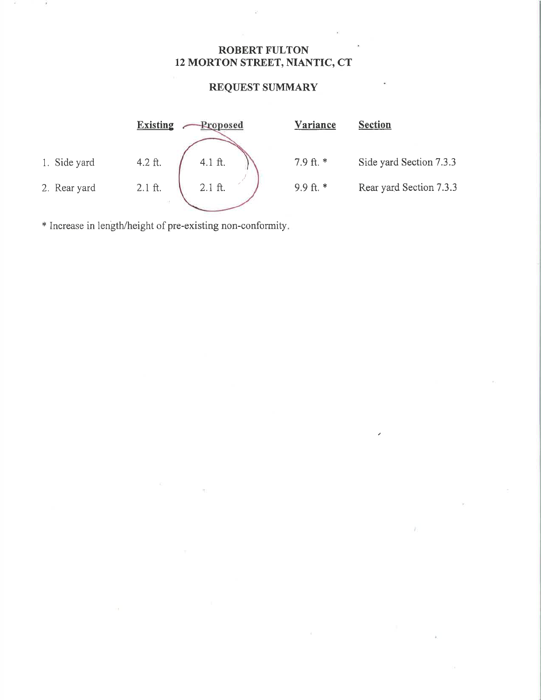## ROBERT FULTON 12 MORTON STREET, NIANTIC, CT

# REQUEST SUMMARY



\* Increase in length/height of pre-existing non-conformity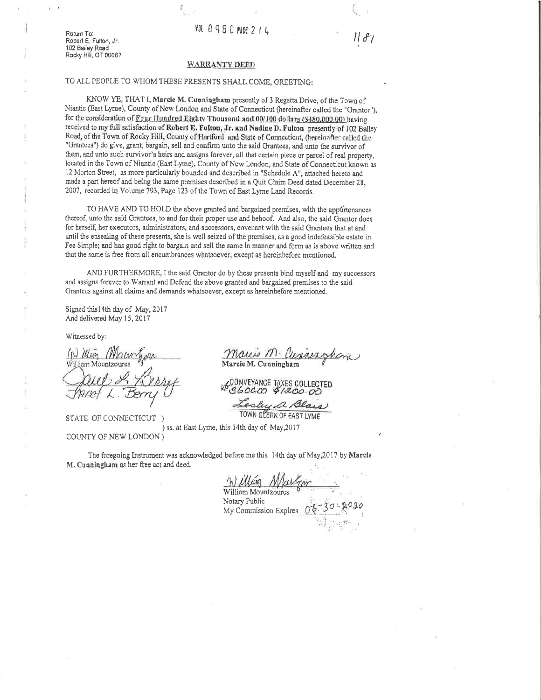# **FOL 0 9 8 0 Phps 2 1 4**

 $||f|$ 

Return To:<br>Robert E<sub>il</sub> Fulton, Jr. 102 Bailey Road Rocky Hill, CT 06067

#### **WARRANTY DEED**

## TO ALL PEOPLE TO WHOM THESE PRESENTS SHALL COME, GREETING:

KNOW YE, THAT I, Marcie M. Cunningham presently of 3 Regatta Drive, of the Town of Niantic (East Lyme), County of New London and State of Connecticut (hereinafter called the "Grantor"), for the consideration of Four Hundred Eighty Thousand and 00/100 dollars (\$480,000.00) having received to my full satisfaction of Robert E. Fulton, Jr. and Nadine D. Fulton presently of 102 Bailey Road, of the Town of Rocky Hill, County of Hartford and State of Connecticut, (hereinafter called the "Grantees") do give, grant, bargain, sell and confirm unto the said Grantees, and unto the survivor of them, and unto such survivor's heirs and assigns forever, all that certain piece or parcel of real property, located in the Town of Niantic (East Lyme), County of New London, and State of Connecticut known as 12 Morton Street, as more particularly bounded and described in "Schedule A", attached hereto and made a part hereof and being the same premises described in a Quit Claim Deed dated December 28, 2007, recorded in Volume 793, Page 123 of the Town of East Lyme Land Records.

TO HAVE AND TO HOLD the above granted and bargained premises, with the applirtenances thereof, unto the said Grantees, to and for their proper use and behoof. And also, the said Grantor does for herself, her executors, administrators, and successors, covenant with the said Grantees that at and until the ensealing of these presents, she is well seized of the premises, as a good indefeasible estate in Fee Simple; and has good right to bargain and sell the same in manner and form as is above written and that the same is free from all encumbrances whatsoever, except as hereinbefore mentioned.

AND FURTHERMORE, I the said Grantor do by these presents bind myself and my successors and assigns forever to Warrant and Defend the above granted and bargained premises to the said Grantees against all claims and demands whatsoever, except as hereinbefore mentioned.

Signed this 14th day of May, 2017 And delivered May 15, 2017

Witnessed by:

Illun William Mountzoures

STATE OF CONNECTICUT

COUNTY OF NEW LONDON)

Marcio M. Cupaerghom

ECONVEYANCE TAXES COLLECTED

Lesley a Blais

) ss. at East Lyme, this 14th day of May, 2017

The foregoing Instrument was acknowledged before me this 14th day of May, 2017 by Marcle M. Cunningham as her free act and deed.

William William Mountzoures Notary Public My Commission Expires 06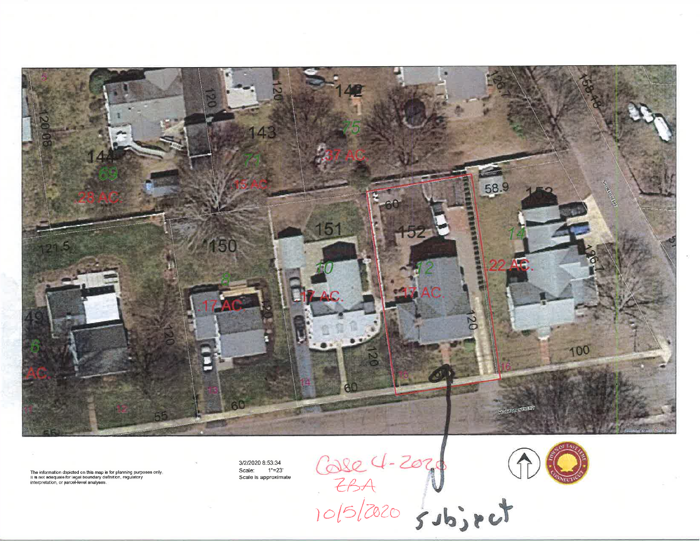

The information depicted on this map is for planning purposes only It is not adequate for legal boundary definition, regulatory interpretation, or parcel-level analyses.

3/2/2020 8:53:34 Scale: 1"=23" Scale is approximate

Case 4-2020<br>2BA<br>1015/2020 50b; ret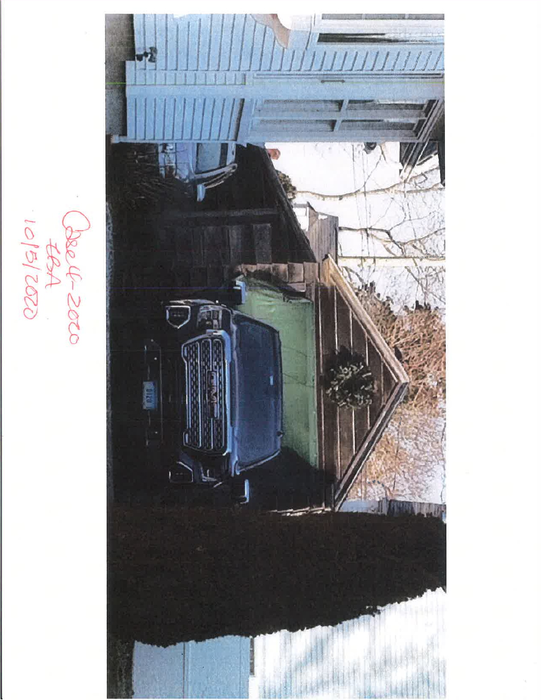

10/21/2000